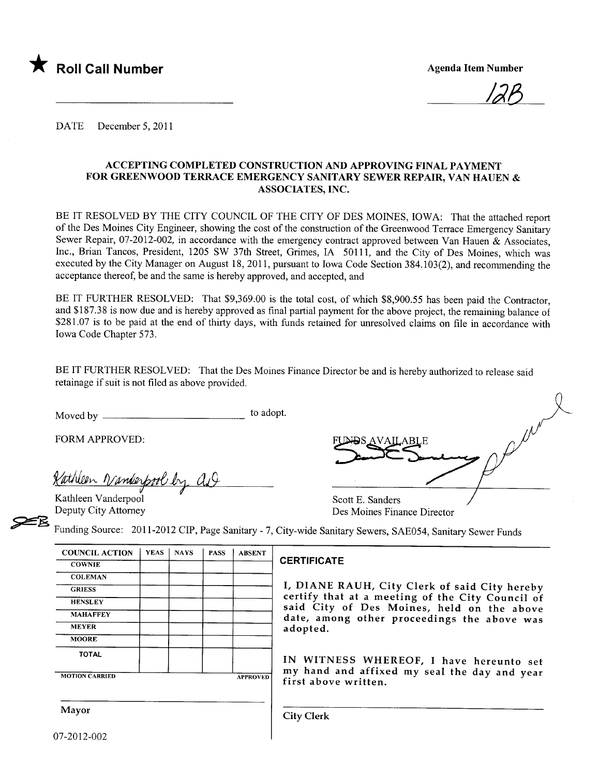

<u>12B</u>

DATE December 5, 2011

#### ACCEPTING COMPLETED CONSTRUCTION AND APPROVING FINAL PAYMENT FOR GREENWOOD TERRACE EMERGENCY SANITARY SEWER REPAIR, VAN HAUEN & ASSOCIATES, INC.

BE IT RESOLVED BY THE CITY COUNCIL OF THE CITY OF DES MOINES, IOWA: That the attached report of the Des Moines City Engineer, showing the cost of the construction of the Greenwood Terrace Emergency Sanitary Sewer Repair, 07-2012-002, in accordance with the emergency contract approved between Van Hauen & Associates, Inc., Brian Tancos, President, 1205 SW 37th Street, Grimes, IA 50111, and the City of Des Moines, which was executed by the City Manager on August 18,2011, pursuant to Iowa Code Section 384.103(2), and recommending the acceptance thereof, be and the same is hereby approved, and accepted, and

BE IT FURTHER RESOLVED: That \$9,369.00 is the total cost, of which \$8,900.55 has been paid the Contractor, and \$187.38 is now due and is hereby approved as final partial payment for the above project, the remaining balance of \$281.07 is to be paid at the end of thirty days, with funds retained for unresolved claims on file in accordance with Iowa Code Chapter 573.

BE IT FURTHER RESOLVED: That the Des Moines Finance Director be and is hereby authorized to release said retainage if suit is not fied as above provided.

Moved by to adopt.

FORM APPROVED:

Kathleen Vanderpool by as

AR) Kathleen Vanderpool Scott E. Sanders

Deputy City Attorney Des Moines Finance Director

~ Funding Source: 2011-2012 CIP, Page Sanitary - 7, City-wide Sanitary Sewers, SAE054, Sanitary Sewer Funds

| <b>COUNCIL ACTION</b> | <b>YEAS</b> | <b>NAYS</b> | <b>PASS</b> | <b>ABSENT</b>   |
|-----------------------|-------------|-------------|-------------|-----------------|
| <b>COWNIE</b>         |             |             |             |                 |
| <b>COLEMAN</b>        |             |             |             |                 |
| <b>GRIESS</b>         |             |             |             |                 |
| <b>HENSLEY</b>        |             |             |             |                 |
| <b>MAHAFFEY</b>       |             |             |             |                 |
| <b>MEYER</b>          |             |             |             |                 |
| <b>MOORE</b>          |             |             |             |                 |
| <b>TOTAL</b>          |             |             |             |                 |
| <b>MOTION CARRIED</b> |             |             |             | <b>APPROVED</b> |

#### **CERTIFICATE**

I, DIANE RAUH, City Clerk of said City hereby certify that at a meeting of the City Council of<br>said City of Des Moines, held on the above date, among other proceedings the above was adopted.

IN WITNESS WHEREOF, I have hereunto set my hand and affixed my seal the day and year first above written.

Mayor City Clerk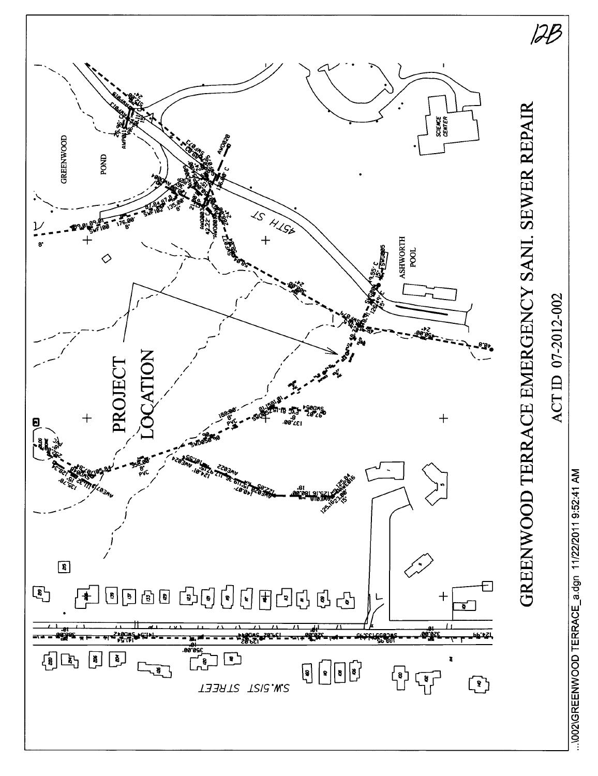

..\002\GREENWOOD TERRACE\_a.dgn 11/22/2011 9:52:41 AM

ACTID 07-2012-002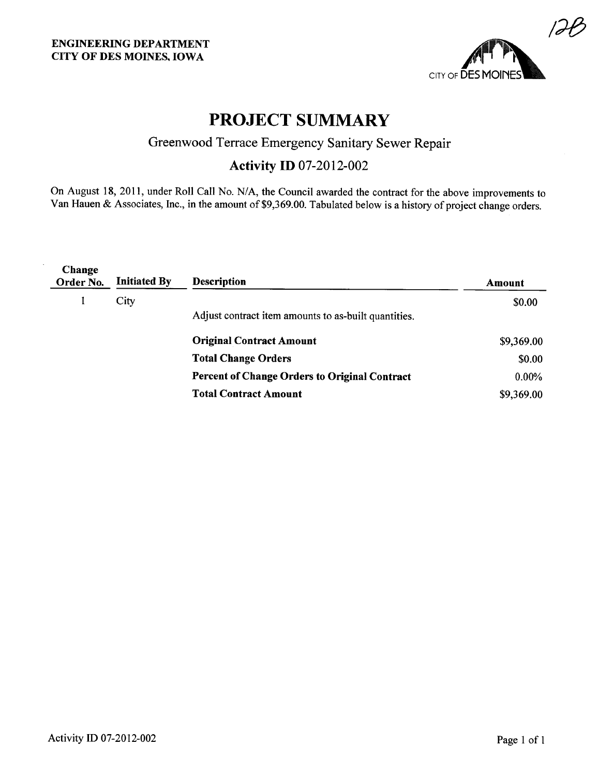

# PROJECT SUMMARY

### Greenwood Terrace Emergency Sanitary Sewer Repair

## Activity ID 07-2012-002

On August 18, 2011, under Roll Call No. N/A, the Council awarded the contract for the above improvements to Van Hauen & Associates, Inc., in the amount of \$9,369.00. Tabulated below is a history of project change orders.

| Change<br>Order No. | <b>Initiated By</b> | <b>Description</b>                                   | Amount     |
|---------------------|---------------------|------------------------------------------------------|------------|
|                     | City                |                                                      | \$0.00     |
|                     |                     | Adjust contract item amounts to as-built quantities. |            |
|                     |                     | <b>Original Contract Amount</b>                      | \$9,369.00 |
|                     |                     | <b>Total Change Orders</b>                           | \$0.00     |
|                     |                     | <b>Percent of Change Orders to Original Contract</b> | $0.00\%$   |
|                     |                     | <b>Total Contract Amount</b>                         | \$9,369.00 |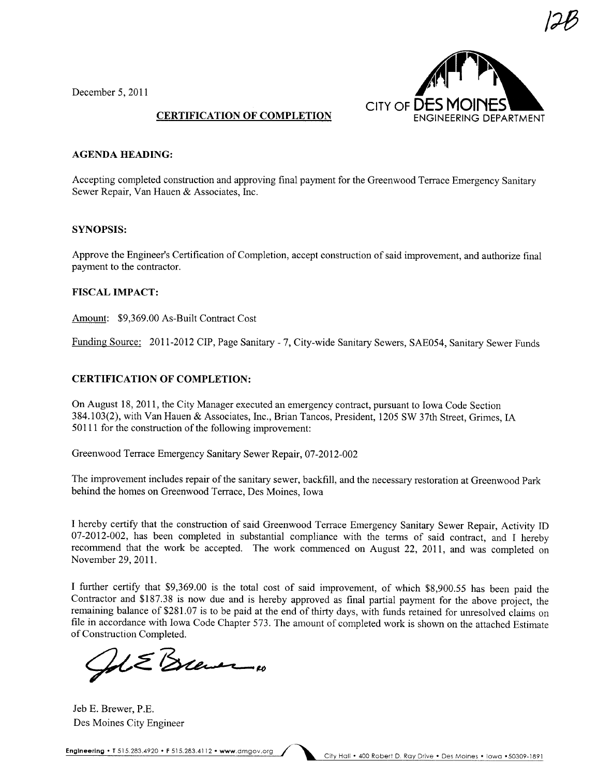December 5, 2011



/~

#### CERTIFICATION OF COMPLETION

#### AGENDA HEADING:

Accepting completed construction and approving final payment for the Greenwood Terrace Emergency Sanitary Sewer Repair, Van Hauen & Associates, Inc,

#### SYNOPSIS:

Approve the Engineer's Certification of Completion, accept construction of said improvement, and authorize final payment to the contractor.

#### FISCAL IMPACT:

Amount: \$9,369,00 As-Built Contract Cost

Funding Source: 2011-2012 CIP, Page Sanitary - 7, City-wide Sanitary Sewers, SAE054, Sanitary Sewer Funds

#### CERTIFICATION OF COMPLETION:

On August 18,2011, the City Manager executed an emergency contract, pursuant to Iowa Code Section 384.103(2), with Van Hauen & Associates, Inc., Brian Tancos, President, 1205 SW 37th Street, Grimes, IA 50111 for the construction of the following improvement:

Greenwood Terrace Emergency Sanitary Sewer Repair, 07-2012-002

The improvement includes repair of the sanitary sewer, backfill, and the necessary restoration at Greenwood Park behind the homes on Greenwood Terrace, Des Moines, Iowa

I hereby certify that the construction of said Greenwood Terrace Emergency Sanitary Sewer Repair, Activity ID 07-2012-002, has been completed in substantial compliance with the terms of said contract, and I hereby recommend that the work be accepted, The work commenced on August 22, 2011, and was completed on November 29, 2011.

I further certify that \$9,369.00 is the total cost of said improvement, of which \$8,900.55 has been paid the Contractor and \$187.38 is now due and is hereby approved as final partial payment for the above project, the remaining balance of \$281.07 is to be paid at the end of thirty days, with funds retained for unresolved claims on fie in accordance with Iowa Code Chapter 573, The amount of completed work is shown on the attached Estimate

of Construction Completed.

Jeb E. Brewer, P,E. Des Moines City Engineer